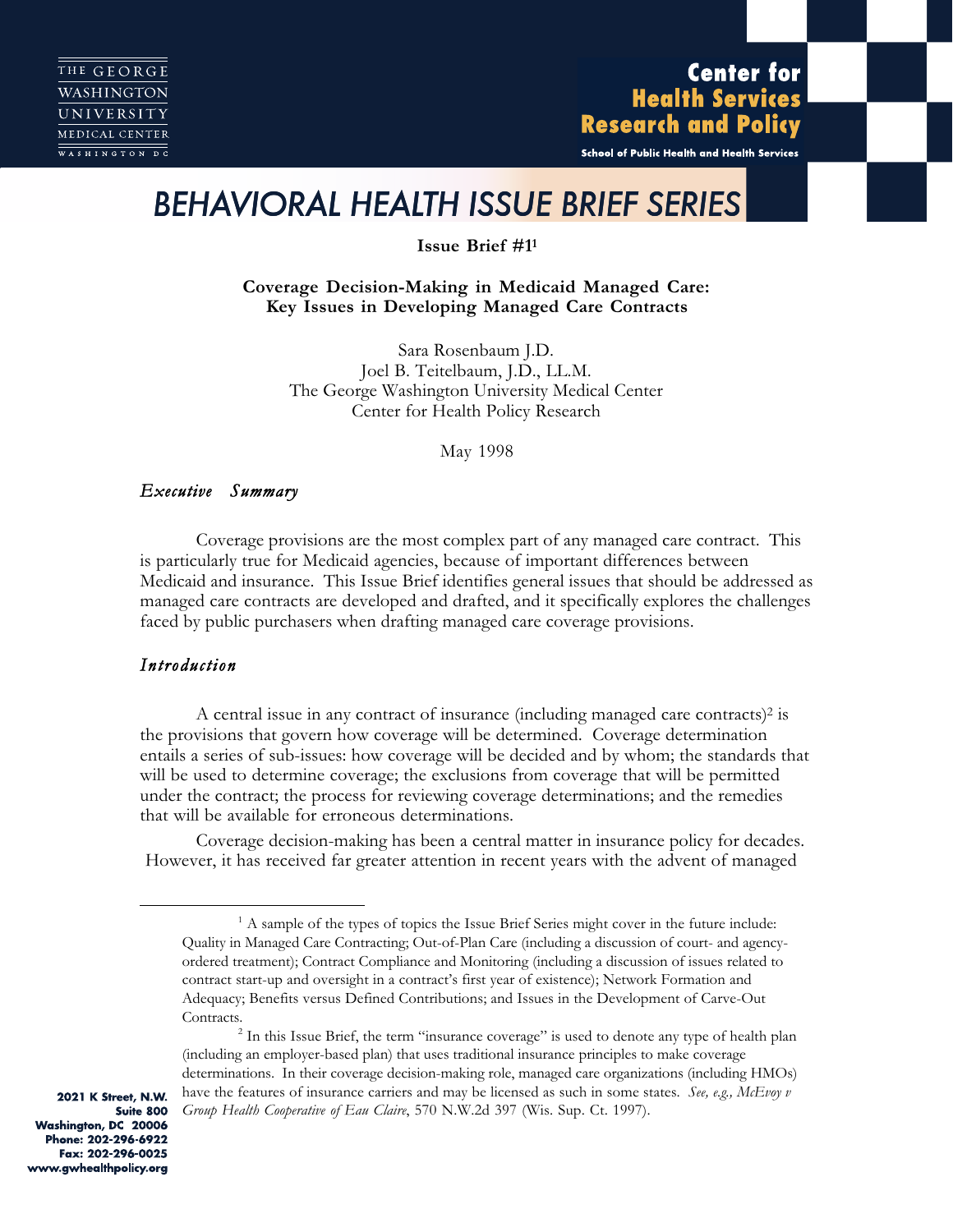**Center for Health Services Research and Policy** 

School of Public Health and Health Services

# *BEHAVIORAL HEALTH ISSUE BRIEF SERIES*

**Issue Brief #11**

# **Coverage Decision-Making in Medicaid Managed Care: Key Issues in Developing Managed Care Contracts**

Sara Rosenbaum J.D. Joel B. Teitelbaum, J.D., LL.M. The George Washington University Medical Center Center for Health Policy Research

May 1998

# *Executive Summary*

Coverage provisions are the most complex part of any managed care contract. This is particularly true for Medicaid agencies, because of important differences between Medicaid and insurance. This Issue Brief identifies general issues that should be addressed as managed care contracts are developed and drafted, and it specifically explores the challenges faced by public purchasers when drafting managed care coverage provisions.

# *Introduction*

A central issue in any contract of insurance (including managed care contracts)<sup>2</sup> is the provisions that govern how coverage will be determined. Coverage determination entails a series of sub-issues: how coverage will be decided and by whom; the standards that will be used to determine coverage; the exclusions from coverage that will be permitted under the contract; the process for reviewing coverage determinations; and the remedies that will be available for erroneous determinations.

Coverage decision-making has been a central matter in insurance policy for decades. However, it has received far greater attention in recent years with the advent of managed

2021 K Street, N.W. Suite 800 Washington, DC 20006 Phone: 202-296-6922 Fax: 202-296-0025 www.gwhealthpolicy.org

 $<sup>1</sup>$  A sample of the types of topics the Issue Brief Series might cover in the future include:</sup> Quality in Managed Care Contracting; Out-of-Plan Care (including a discussion of court- and agencyordered treatment); Contract Compliance and Monitoring (including a discussion of issues related to contract start-up and oversight in a contract's first year of existence); Network Formation and Adequacy; Benefits versus Defined Contributions; and Issues in the Development of Carve-Out Contracts.2 In this Issue Brief, the term "insurance coverage" is used to denote any type of health plan

<sup>(</sup>including an employer-based plan) that uses traditional insurance principles to make coverage determinations. In their coverage decision-making role, managed care organizations (including HMOs) have the features of insurance carriers and may be licensed as such in some states. *See, e.g., McEvoy v Group Health Cooperative of Eau Claire*, 570 N.W.2d 397 (Wis. Sup. Ct. 1997).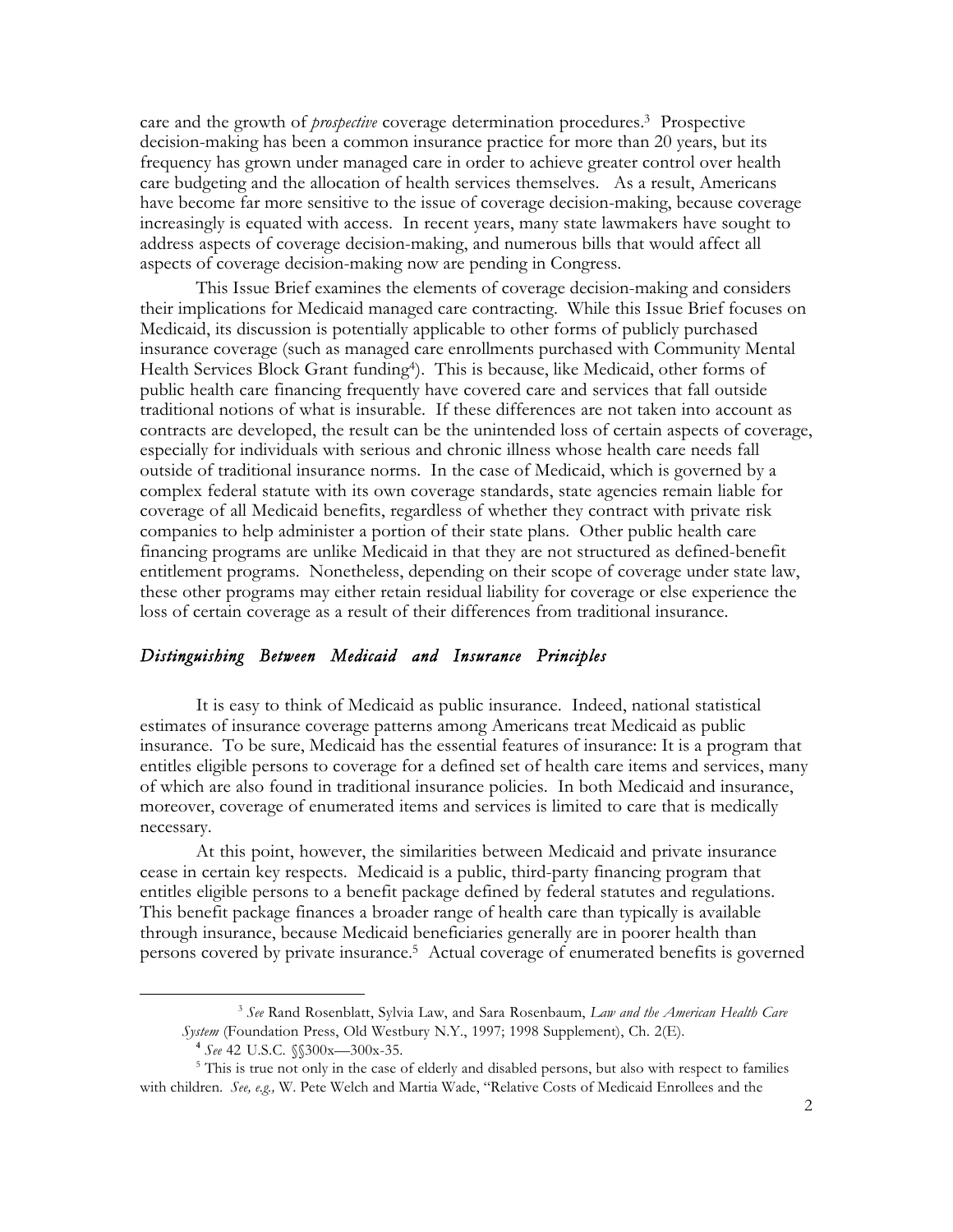care and the growth of *prospective* coverage determination procedures.3 Prospective decision-making has been a common insurance practice for more than 20 years, but its frequency has grown under managed care in order to achieve greater control over health care budgeting and the allocation of health services themselves. As a result, Americans have become far more sensitive to the issue of coverage decision-making, because coverage increasingly is equated with access. In recent years, many state lawmakers have sought to address aspects of coverage decision-making, and numerous bills that would affect all aspects of coverage decision-making now are pending in Congress.

This Issue Brief examines the elements of coverage decision-making and considers their implications for Medicaid managed care contracting. While this Issue Brief focuses on Medicaid, its discussion is potentially applicable to other forms of publicly purchased insurance coverage (such as managed care enrollments purchased with Community Mental Health Services Block Grant funding<sup>4</sup>). This is because, like Medicaid, other forms of public health care financing frequently have covered care and services that fall outside traditional notions of what is insurable. If these differences are not taken into account as contracts are developed, the result can be the unintended loss of certain aspects of coverage, especially for individuals with serious and chronic illness whose health care needs fall outside of traditional insurance norms. In the case of Medicaid, which is governed by a complex federal statute with its own coverage standards, state agencies remain liable for coverage of all Medicaid benefits, regardless of whether they contract with private risk companies to help administer a portion of their state plans. Other public health care financing programs are unlike Medicaid in that they are not structured as defined-benefit entitlement programs. Nonetheless, depending on their scope of coverage under state law, these other programs may either retain residual liability for coverage or else experience the loss of certain coverage as a result of their differences from traditional insurance.

#### *Distinguishing Between Medicaid and Insurance Principles*

It is easy to think of Medicaid as public insurance. Indeed, national statistical estimates of insurance coverage patterns among Americans treat Medicaid as public insurance. To be sure, Medicaid has the essential features of insurance: It is a program that entitles eligible persons to coverage for a defined set of health care items and services, many of which are also found in traditional insurance policies. In both Medicaid and insurance, moreover, coverage of enumerated items and services is limited to care that is medically necessary.

At this point, however, the similarities between Medicaid and private insurance cease in certain key respects. Medicaid is a public, third-party financing program that entitles eligible persons to a benefit package defined by federal statutes and regulations. This benefit package finances a broader range of health care than typically is available through insurance, because Medicaid beneficiaries generally are in poorer health than persons covered by private insurance.5 Actual coverage of enumerated benefits is governed

<sup>3</sup> *See* Rand Rosenblatt, Sylvia Law, and Sara Rosenbaum, *Law and the American Health Care*

*System* (Foundation Press, Old Westbury N.Y., 1997; 1998 Supplement), Ch. 2(E). **<sup>4</sup>** *See* 42 U.S.C. §§300x—300x-35.

<sup>&</sup>lt;sup>5</sup> This is true not only in the case of elderly and disabled persons, but also with respect to families with children. *See, e.g.,* W. Pete Welch and Martia Wade, "Relative Costs of Medicaid Enrollees and the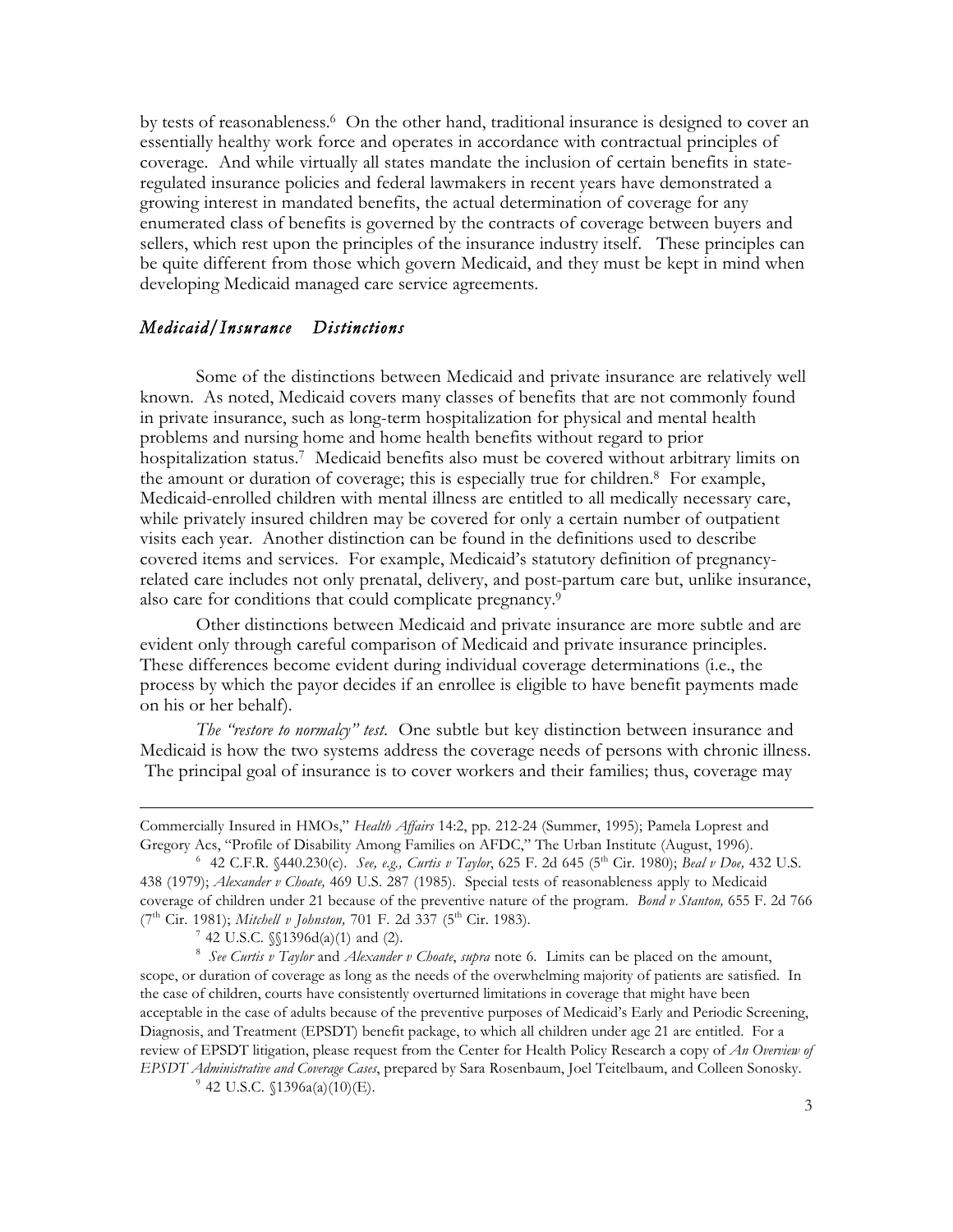by tests of reasonableness.<sup>6</sup> On the other hand, traditional insurance is designed to cover an essentially healthy work force and operates in accordance with contractual principles of coverage. And while virtually all states mandate the inclusion of certain benefits in stateregulated insurance policies and federal lawmakers in recent years have demonstrated a growing interest in mandated benefits, the actual determination of coverage for any enumerated class of benefits is governed by the contracts of coverage between buyers and sellers, which rest upon the principles of the insurance industry itself. These principles can be quite different from those which govern Medicaid, and they must be kept in mind when developing Medicaid managed care service agreements.

## *Medicaid/Insurance Distinctions*

Some of the distinctions between Medicaid and private insurance are relatively well known. As noted, Medicaid covers many classes of benefits that are not commonly found in private insurance, such as long-term hospitalization for physical and mental health problems and nursing home and home health benefits without regard to prior hospitalization status.7 Medicaid benefits also must be covered without arbitrary limits on the amount or duration of coverage; this is especially true for children.8 For example, Medicaid-enrolled children with mental illness are entitled to all medically necessary care, while privately insured children may be covered for only a certain number of outpatient visits each year. Another distinction can be found in the definitions used to describe covered items and services. For example, Medicaid's statutory definition of pregnancyrelated care includes not only prenatal, delivery, and post-partum care but, unlike insurance, also care for conditions that could complicate pregnancy.9

Other distinctions between Medicaid and private insurance are more subtle and are evident only through careful comparison of Medicaid and private insurance principles. These differences become evident during individual coverage determinations (i.e., the process by which the payor decides if an enrollee is eligible to have benefit payments made on his or her behalf).

*The "restore to normalcy" test*. One subtle but key distinction between insurance and Medicaid is how the two systems address the coverage needs of persons with chronic illness. The principal goal of insurance is to cover workers and their families; thus, coverage may

L

 $9$  42 U.S.C.  $1396a(a)(10)$ (E).

Commercially Insured in HMOs," *Health Affairs* 14:2, pp. 212-24 (Summer, 1995); Pamela Loprest and Gregory Acs, "Profile of Disability Among Families on AFDC," The Urban Institute (August, 1996).

<sup>6</sup> 42 C.F.R. §440.230(c). *See, e.g., Curtis v Taylor*, 625 F. 2d 645 (5th Cir. 1980); *Beal v Doe,* 432 U.S. 438 (1979); *Alexander v Choate,* 469 U.S. 287 (1985). Special tests of reasonableness apply to Medicaid coverage of children under 21 because of the preventive nature of the program. *Bond v Stanton,* 655 F. 2d 766 (7<sup>th</sup> Cir. 1981); *Mitchell v Johnston*, 701 F. 2d 337 (5<sup>th</sup> Cir. 1983).

 $^7$  42 U.S.C.  $\{\$1396d(a)(1)$  and (2).

<sup>8</sup> *See Curtis v Taylor* and *Alexander v Choate*, *supra* note 6. Limits can be placed on the amount, scope, or duration of coverage as long as the needs of the overwhelming majority of patients are satisfied. In the case of children, courts have consistently overturned limitations in coverage that might have been acceptable in the case of adults because of the preventive purposes of Medicaid's Early and Periodic Screening, Diagnosis, and Treatment (EPSDT) benefit package, to which all children under age 21 are entitled. For a review of EPSDT litigation, please request from the Center for Health Policy Research a copy of *An Overview of EPSDT Administrative and Coverage Cases*, prepared by Sara Rosenbaum, Joel Teitelbaum, and Colleen Sonosky.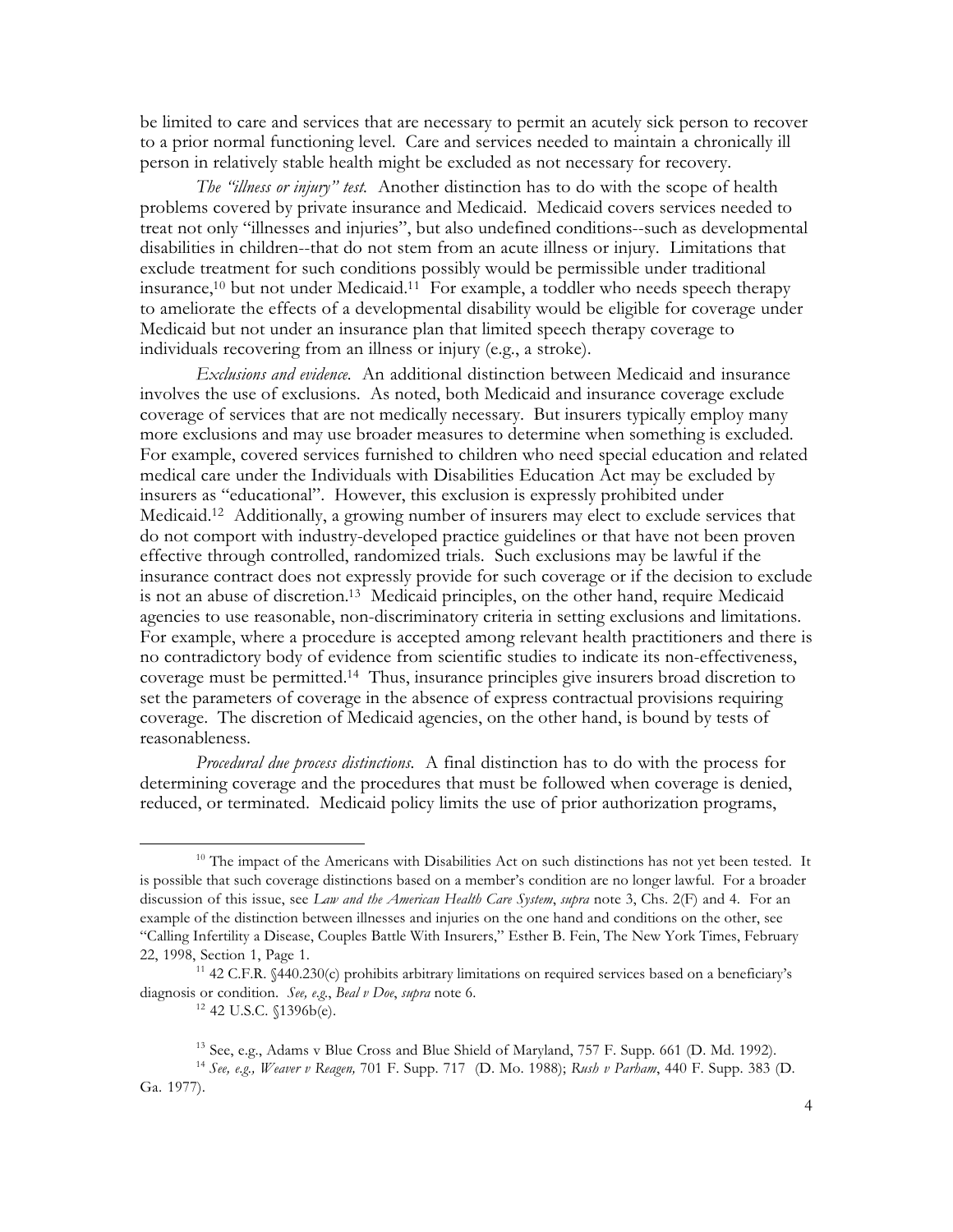be limited to care and services that are necessary to permit an acutely sick person to recover to a prior normal functioning level. Care and services needed to maintain a chronically ill person in relatively stable health might be excluded as not necessary for recovery.

*The "illness or injury" test.* Another distinction has to do with the scope of health problems covered by private insurance and Medicaid. Medicaid covers services needed to treat not only "illnesses and injuries", but also undefined conditions--such as developmental disabilities in children--that do not stem from an acute illness or injury. Limitations that exclude treatment for such conditions possibly would be permissible under traditional insurance,<sup>10</sup> but not under Medicaid.<sup>11</sup> For example, a toddler who needs speech therapy to ameliorate the effects of a developmental disability would be eligible for coverage under Medicaid but not under an insurance plan that limited speech therapy coverage to individuals recovering from an illness or injury (e.g., a stroke).

*Exclusions and evidence.* An additional distinction between Medicaid and insurance involves the use of exclusions. As noted, both Medicaid and insurance coverage exclude coverage of services that are not medically necessary. But insurers typically employ many more exclusions and may use broader measures to determine when something is excluded. For example, covered services furnished to children who need special education and related medical care under the Individuals with Disabilities Education Act may be excluded by insurers as "educational". However, this exclusion is expressly prohibited under Medicaid.12 Additionally, a growing number of insurers may elect to exclude services that do not comport with industry-developed practice guidelines or that have not been proven effective through controlled, randomized trials. Such exclusions may be lawful if the insurance contract does not expressly provide for such coverage or if the decision to exclude is not an abuse of discretion.13 Medicaid principles, on the other hand, require Medicaid agencies to use reasonable, non-discriminatory criteria in setting exclusions and limitations. For example, where a procedure is accepted among relevant health practitioners and there is no contradictory body of evidence from scientific studies to indicate its non-effectiveness, coverage must be permitted.14 Thus, insurance principles give insurers broad discretion to set the parameters of coverage in the absence of express contractual provisions requiring coverage. The discretion of Medicaid agencies, on the other hand, is bound by tests of reasonableness.

*Procedural due process distinctions.* A final distinction has to do with the process for determining coverage and the procedures that must be followed when coverage is denied, reduced, or terminated. Medicaid policy limits the use of prior authorization programs,

<sup>&</sup>lt;sup>10</sup> The impact of the Americans with Disabilities Act on such distinctions has not yet been tested. It is possible that such coverage distinctions based on a member's condition are no longer lawful. For a broader discussion of this issue, see *Law and the American Health Care System*, *supra* note 3, Chs. 2(F) and 4. For an example of the distinction between illnesses and injuries on the one hand and conditions on the other, see "Calling Infertility a Disease, Couples Battle With Insurers," Esther B. Fein, The New York Times, February 22, 1998, Section 1, Page 1.

<sup>11 42</sup> C.F.R. §440.230(c) prohibits arbitrary limitations on required services based on a beneficiary's diagnosis or condition. *See, e.g.*, *Beal v Doe*, *supra* note 6.

<sup>12</sup> 42 U.S.C. §1396b(e).

<sup>&</sup>lt;sup>13</sup> See, e.g., Adams v Blue Cross and Blue Shield of Maryland, 757 F. Supp. 661 (D. Md. 1992).

<sup>14</sup> *See, e.g., Weaver v Reagen,* 701 F. Supp. 717 (D. Mo. 1988); *Rush v Parham*, 440 F. Supp. 383 (D. Ga. 1977).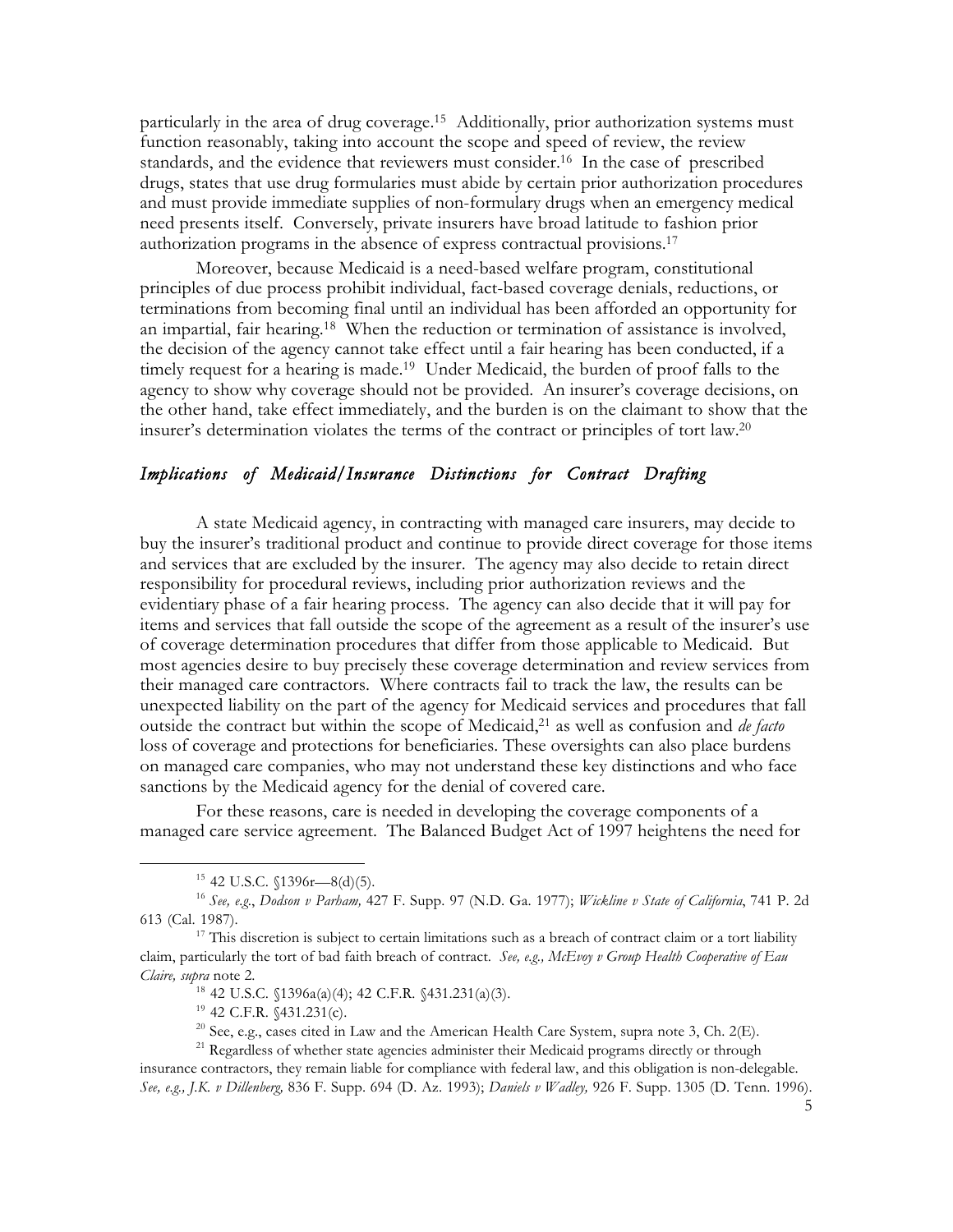particularly in the area of drug coverage.15 Additionally, prior authorization systems must function reasonably, taking into account the scope and speed of review, the review standards, and the evidence that reviewers must consider.16 In the case of prescribed drugs, states that use drug formularies must abide by certain prior authorization procedures and must provide immediate supplies of non-formulary drugs when an emergency medical need presents itself. Conversely, private insurers have broad latitude to fashion prior authorization programs in the absence of express contractual provisions.17

Moreover, because Medicaid is a need-based welfare program, constitutional principles of due process prohibit individual, fact-based coverage denials, reductions, or terminations from becoming final until an individual has been afforded an opportunity for an impartial, fair hearing.18 When the reduction or termination of assistance is involved, the decision of the agency cannot take effect until a fair hearing has been conducted, if a timely request for a hearing is made.<sup>19</sup> Under Medicaid, the burden of proof falls to the agency to show why coverage should not be provided. An insurer's coverage decisions, on the other hand, take effect immediately, and the burden is on the claimant to show that the insurer's determination violates the terms of the contract or principles of tort law.20

# *Implications of Medicaid/Insurance Distinctions for Contract Drafting*

A state Medicaid agency, in contracting with managed care insurers, may decide to buy the insurer's traditional product and continue to provide direct coverage for those items and services that are excluded by the insurer. The agency may also decide to retain direct responsibility for procedural reviews, including prior authorization reviews and the evidentiary phase of a fair hearing process. The agency can also decide that it will pay for items and services that fall outside the scope of the agreement as a result of the insurer's use of coverage determination procedures that differ from those applicable to Medicaid. But most agencies desire to buy precisely these coverage determination and review services from their managed care contractors. Where contracts fail to track the law, the results can be unexpected liability on the part of the agency for Medicaid services and procedures that fall outside the contract but within the scope of Medicaid,<sup>21</sup> as well as confusion and *de facto* loss of coverage and protections for beneficiaries. These oversights can also place burdens on managed care companies, who may not understand these key distinctions and who face sanctions by the Medicaid agency for the denial of covered care.

For these reasons, care is needed in developing the coverage components of a managed care service agreement. The Balanced Budget Act of 1997 heightens the need for

 $\overline{a}$ 

<sup>21</sup> Regardless of whether state agencies administer their Medicaid programs directly or through insurance contractors, they remain liable for compliance with federal law, and this obligation is non-delegable. *See, e.g., J.K. v Dillenberg,* 836 F. Supp. 694 (D. Az. 1993); *Daniels v Wadley,* 926 F. Supp. 1305 (D. Tenn. 1996).

 $15$  42 U.S.C.  $1396r - 8(d)(5)$ .

<sup>16</sup> *See, e.g*., *Dodson v Parham,* 427 F. Supp. 97 (N.D. Ga. 1977); *Wickline v State of California*, 741 P. 2d 613 (Cal. 1987).

 $17$  This discretion is subject to certain limitations such as a breach of contract claim or a tort liability claim, particularly the tort of bad faith breach of contract. *See, e.g., McEvoy v Group Health Cooperative of Eau Claire, supra* note 2.

<sup>18</sup> 42 U.S.C. §1396a(a)(4); 42 C.F.R. §431.231(a)(3).

<sup>&</sup>lt;sup>19</sup> 42 C.F.R. §431.231(c).

 $20$  See, e.g., cases cited in Law and the American Health Care System, supra note 3, Ch. 2(E).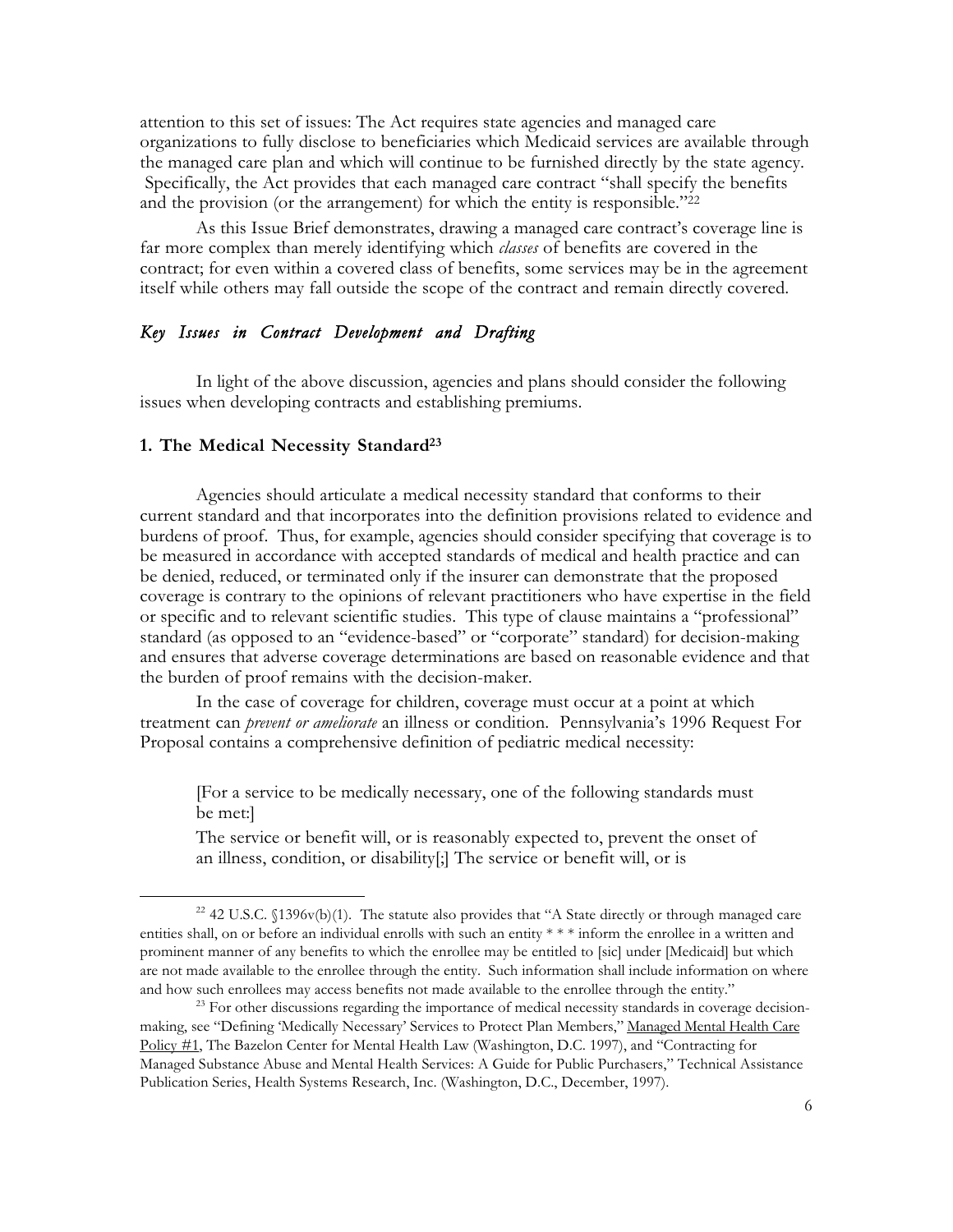attention to this set of issues: The Act requires state agencies and managed care organizations to fully disclose to beneficiaries which Medicaid services are available through the managed care plan and which will continue to be furnished directly by the state agency. Specifically, the Act provides that each managed care contract "shall specify the benefits and the provision (or the arrangement) for which the entity is responsible."22

As this Issue Brief demonstrates, drawing a managed care contract's coverage line is far more complex than merely identifying which *classes* of benefits are covered in the contract; for even within a covered class of benefits, some services may be in the agreement itself while others may fall outside the scope of the contract and remain directly covered.

# *Key Issues in Contract Development and Drafting*

In light of the above discussion, agencies and plans should consider the following issues when developing contracts and establishing premiums.

# **1. The Medical Necessity Standard23**

 $\overline{a}$ 

Agencies should articulate a medical necessity standard that conforms to their current standard and that incorporates into the definition provisions related to evidence and burdens of proof. Thus, for example, agencies should consider specifying that coverage is to be measured in accordance with accepted standards of medical and health practice and can be denied, reduced, or terminated only if the insurer can demonstrate that the proposed coverage is contrary to the opinions of relevant practitioners who have expertise in the field or specific and to relevant scientific studies. This type of clause maintains a "professional" standard (as opposed to an "evidence-based" or "corporate" standard) for decision-making and ensures that adverse coverage determinations are based on reasonable evidence and that the burden of proof remains with the decision-maker.

In the case of coverage for children, coverage must occur at a point at which treatment can *prevent or ameliorate* an illness or condition. Pennsylvania's 1996 Request For Proposal contains a comprehensive definition of pediatric medical necessity:

[For a service to be medically necessary, one of the following standards must be met:]

The service or benefit will, or is reasonably expected to, prevent the onset of an illness, condition, or disability[;] The service or benefit will, or is

<sup>&</sup>lt;sup>22</sup> 42 U.S.C. §1396v(b)(1). The statute also provides that "A State directly or through managed care entities shall, on or before an individual enrolls with such an entity \* \* \* inform the enrollee in a written and prominent manner of any benefits to which the enrollee may be entitled to [sic] under [Medicaid] but which are not made available to the enrollee through the entity. Such information shall include information on where and how such enrollees may access benefits not made available to the enrollee through the entity."

 $23$  For other discussions regarding the importance of medical necessity standards in coverage decisionmaking, see "Defining 'Medically Necessary' Services to Protect Plan Members," Managed Mental Health Care Policy #1, The Bazelon Center for Mental Health Law (Washington, D.C. 1997), and "Contracting for Managed Substance Abuse and Mental Health Services: A Guide for Public Purchasers," Technical Assistance Publication Series, Health Systems Research, Inc. (Washington, D.C., December, 1997).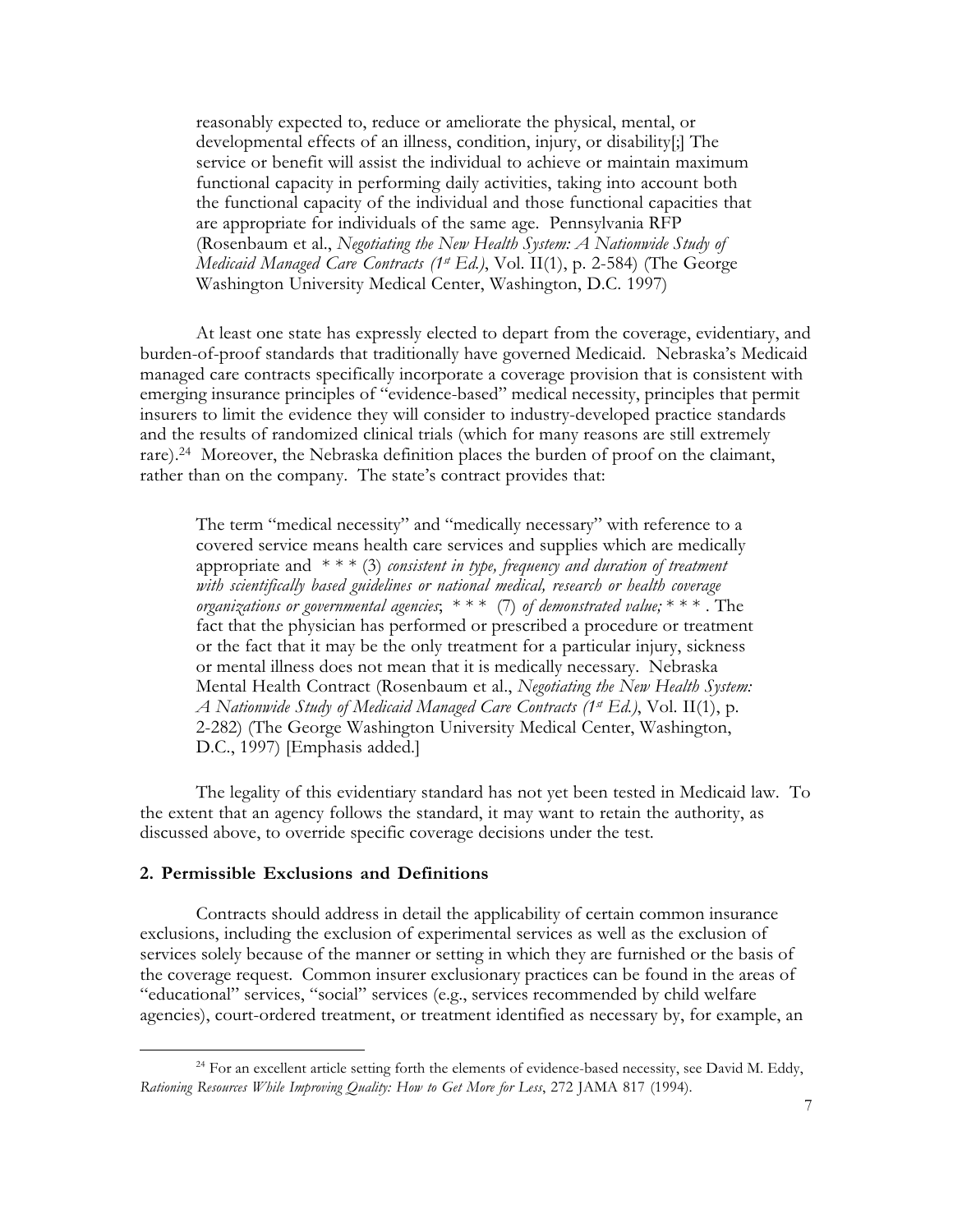reasonably expected to, reduce or ameliorate the physical, mental, or developmental effects of an illness, condition, injury, or disability[;] The service or benefit will assist the individual to achieve or maintain maximum functional capacity in performing daily activities, taking into account both the functional capacity of the individual and those functional capacities that are appropriate for individuals of the same age. Pennsylvania RFP (Rosenbaum et al., *Negotiating the New Health System: A Nationwide Study of Medicaid Managed Care Contracts (1st Ed.)*, Vol. II(1), p. 2-584) (The George Washington University Medical Center, Washington, D.C. 1997)

At least one state has expressly elected to depart from the coverage, evidentiary, and burden-of-proof standards that traditionally have governed Medicaid. Nebraska's Medicaid managed care contracts specifically incorporate a coverage provision that is consistent with emerging insurance principles of "evidence-based" medical necessity, principles that permit insurers to limit the evidence they will consider to industry-developed practice standards and the results of randomized clinical trials (which for many reasons are still extremely rare).24 Moreover, the Nebraska definition places the burden of proof on the claimant, rather than on the company. The state's contract provides that:

The term "medical necessity" and "medically necessary" with reference to a covered service means health care services and supplies which are medically appropriate and \* \* \* (3) *consistent in type, frequency and duration of treatment with scientifically based guidelines or national medical, research or health coverage organizations or governmental agencies*; \* \* \* (7) *of demonstrated value;* \* \* \* . The fact that the physician has performed or prescribed a procedure or treatment or the fact that it may be the only treatment for a particular injury, sickness or mental illness does not mean that it is medically necessary. Nebraska Mental Health Contract (Rosenbaum et al., *Negotiating the New Health System: A Nationwide Study of Medicaid Managed Care Contracts (1st Ed.)*, Vol. II(1), p. 2-282) (The George Washington University Medical Center, Washington, D.C., 1997) [Emphasis added.]

The legality of this evidentiary standard has not yet been tested in Medicaid law. To the extent that an agency follows the standard, it may want to retain the authority, as discussed above, to override specific coverage decisions under the test.

### **2. Permissible Exclusions and Definitions**

L

Contracts should address in detail the applicability of certain common insurance exclusions, including the exclusion of experimental services as well as the exclusion of services solely because of the manner or setting in which they are furnished or the basis of the coverage request. Common insurer exclusionary practices can be found in the areas of "educational" services, "social" services (e.g., services recommended by child welfare agencies), court-ordered treatment, or treatment identified as necessary by, for example, an

<sup>&</sup>lt;sup>24</sup> For an excellent article setting forth the elements of evidence-based necessity, see David M. Eddy, *Rationing Resources While Improving Quality: How to Get More for Less*, 272 JAMA 817 (1994).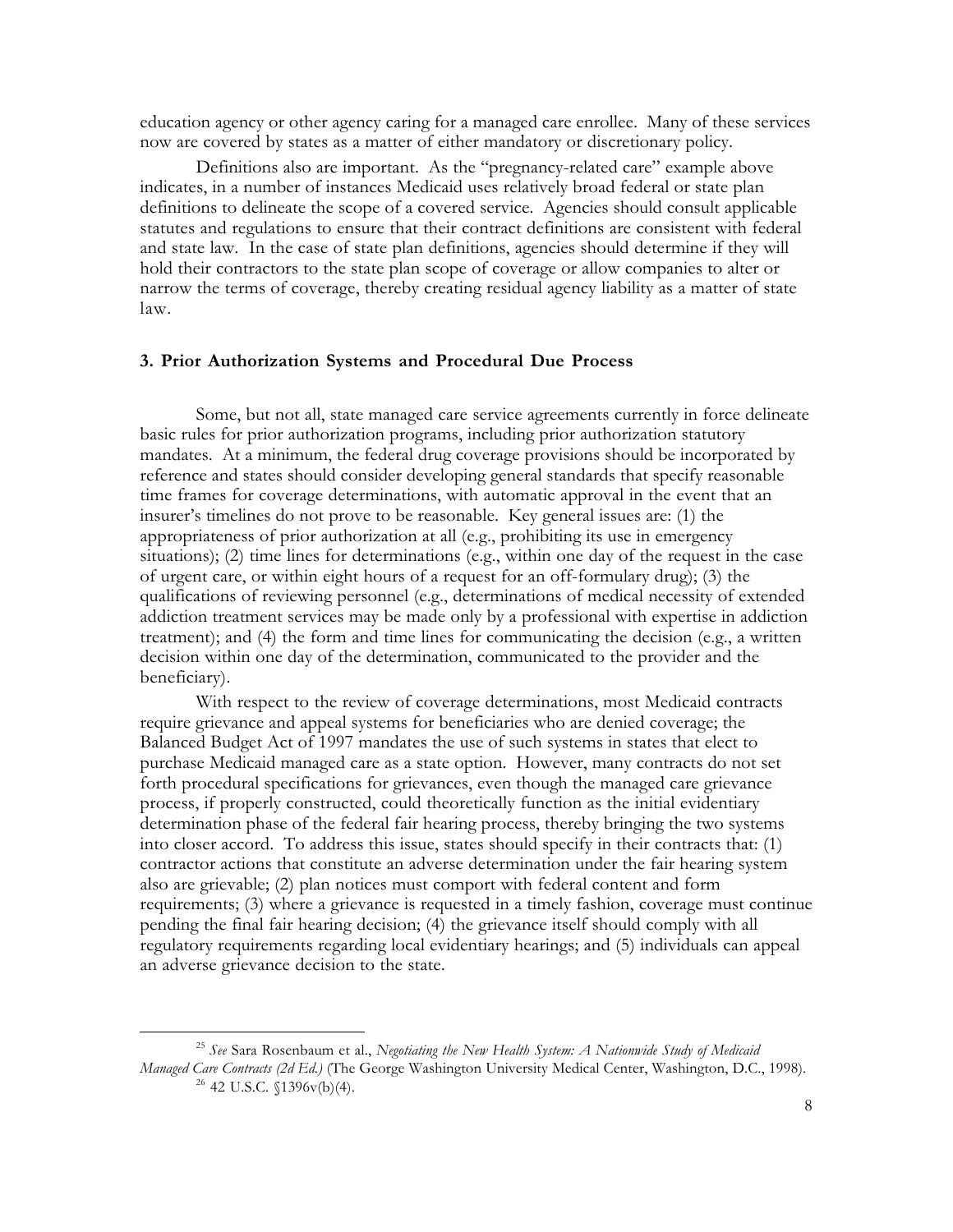education agency or other agency caring for a managed care enrollee. Many of these services now are covered by states as a matter of either mandatory or discretionary policy.

Definitions also are important. As the "pregnancy-related care" example above indicates, in a number of instances Medicaid uses relatively broad federal or state plan definitions to delineate the scope of a covered service. Agencies should consult applicable statutes and regulations to ensure that their contract definitions are consistent with federal and state law. In the case of state plan definitions, agencies should determine if they will hold their contractors to the state plan scope of coverage or allow companies to alter or narrow the terms of coverage, thereby creating residual agency liability as a matter of state law.

#### **3. Prior Authorization Systems and Procedural Due Process**

Some, but not all, state managed care service agreements currently in force delineate basic rules for prior authorization programs, including prior authorization statutory mandates. At a minimum, the federal drug coverage provisions should be incorporated by reference and states should consider developing general standards that specify reasonable time frames for coverage determinations, with automatic approval in the event that an insurer's timelines do not prove to be reasonable. Key general issues are: (1) the appropriateness of prior authorization at all (e.g., prohibiting its use in emergency situations); (2) time lines for determinations (e.g., within one day of the request in the case of urgent care, or within eight hours of a request for an off-formulary drug); (3) the qualifications of reviewing personnel (e.g., determinations of medical necessity of extended addiction treatment services may be made only by a professional with expertise in addiction treatment); and (4) the form and time lines for communicating the decision (e.g., a written decision within one day of the determination, communicated to the provider and the beneficiary).

With respect to the review of coverage determinations, most Medicaid contracts require grievance and appeal systems for beneficiaries who are denied coverage; the Balanced Budget Act of 1997 mandates the use of such systems in states that elect to purchase Medicaid managed care as a state option. However, many contracts do not set forth procedural specifications for grievances, even though the managed care grievance process, if properly constructed, could theoretically function as the initial evidentiary determination phase of the federal fair hearing process, thereby bringing the two systems into closer accord. To address this issue, states should specify in their contracts that: (1) contractor actions that constitute an adverse determination under the fair hearing system also are grievable; (2) plan notices must comport with federal content and form requirements; (3) where a grievance is requested in a timely fashion, coverage must continue pending the final fair hearing decision; (4) the grievance itself should comply with all regulatory requirements regarding local evidentiary hearings; and (5) individuals can appeal an adverse grievance decision to the state.

L

<sup>25</sup> *See* Sara Rosenbaum et al., *Negotiating the New Health System: A Nationwide Study of Medicaid Managed Care Contracts (2d Ed.)* (The George Washington University Medical Center, Washington, D.C., 1998).  $26$  42 U.S.C.  $$1396v(b)(4)$ .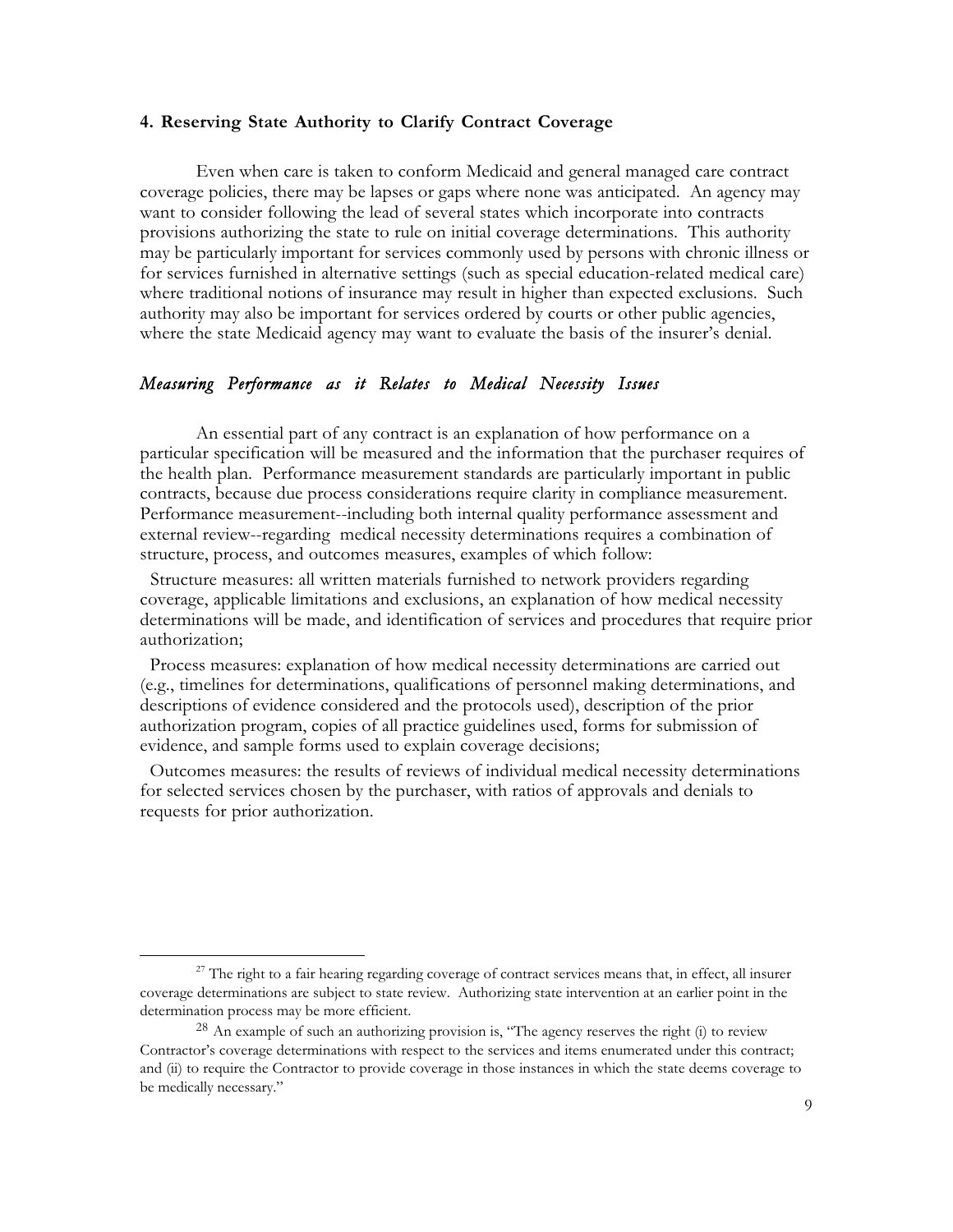## **4. Reserving State Authority to Clarify Contract Coverage**

Even when care is taken to conform Medicaid and general managed care contract coverage policies, there may be lapses or gaps where none was anticipated. An agency may want to consider following the lead of several states which incorporate into contracts provisions authorizing the state to rule on initial coverage determinations. This authority may be particularly important for services commonly used by persons with chronic illness or for services furnished in alternative settings (such as special education-related medical care) where traditional notions of insurance may result in higher than expected exclusions. Such authority may also be important for services ordered by courts or other public agencies, where the state Medicaid agency may want to evaluate the basis of the insurer's denial.

# *Measuring Performance as it Relates to Medical Necessity Issues*

An essential part of any contract is an explanation of how performance on a particular specification will be measured and the information that the purchaser requires of the health plan. Performance measurement standards are particularly important in public contracts, because due process considerations require clarity in compliance measurement. Performance measurement--including both internal quality performance assessment and external review--regarding medical necessity determinations requires a combination of structure, process, and outcomes measures, examples of which follow:

 Structure measures: all written materials furnished to network providers regarding coverage, applicable limitations and exclusions, an explanation of how medical necessity determinations will be made, and identification of services and procedures that require prior authorization;

 Process measures: explanation of how medical necessity determinations are carried out (e.g., timelines for determinations, qualifications of personnel making determinations, and descriptions of evidence considered and the protocols used), description of the prior authorization program, copies of all practice guidelines used, forms for submission of evidence, and sample forms used to explain coverage decisions;

 Outcomes measures: the results of reviews of individual medical necessity determinations for selected services chosen by the purchaser, with ratios of approvals and denials to requests for prior authorization.

<sup>&</sup>lt;sup>27</sup> The right to a fair hearing regarding coverage of contract services means that, in effect, all insurer coverage determinations are subject to state review. Authorizing state intervention at an earlier point in the determination process may be more efficient.

<sup>&</sup>lt;sup>28</sup> An example of such an authorizing provision is, "The agency reserves the right (i) to review Contractor's coverage determinations with respect to the services and items enumerated under this contract; and (ii) to require the Contractor to provide coverage in those instances in which the state deems coverage to be medically necessary."